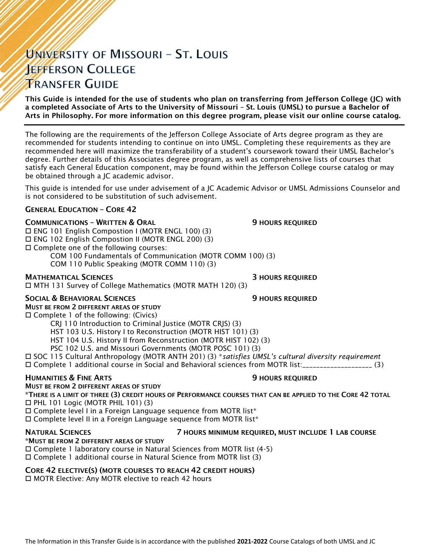# UNIVERSITY OF MISSOURI - ST. LOUIS **JEFFERSON COLLEGE TRANSFER GUIDE**

This Guide is intended for the use of students who plan on transferring from Jefferson College (JC) with a completed Associate of Arts to the University of Missouri – St. Louis (UMSL) to pursue a Bachelor of Arts in Philosophy. For more information on this degree program, please visit our online course catalog.

The following are the requirements of the Jefferson College Associate of Arts degree program as they are recommended for students intending to continue on into UMSL. Completing these requirements as they are recommended here will maximize the transferability of a student's coursework toward their UMSL Bachelor's degree. Further details of this Associates degree program, as well as comprehensive lists of courses that satisfy each General Education component, may be found within the Jefferson College course catalog or may be obtained through a JC academic advisor.

This guide is intended for use under advisement of a JC Academic Advisor or UMSL Admissions Counselor and is not considered to be substitution of such advisement.

#### GENERAL EDUCATION – CORE 42

#### **COMMUNICATIONS - WRITTEN & ORAL 50 COMMUNICATIONS - WRITTEN & ORAL 50 MILLS**

 ENG 101 English Compostion I (MOTR ENGL 100) (3) ENG 102 English Compostion II (MOTR ENGL 200) (3)

Complete one of the following courses:

COM 100 Fundamentals of Communication (MOTR COMM 100) (3)

COM 110 Public Speaking (MOTR COMM 110) (3)

#### MATHEMATICAL SCIENCES 3 HOURS REQUIRED

MTH 131 Survey of College Mathematics (MOTR MATH 120) (3)

## SOCIAL & BEHAVIORAL SCIENCES **9 HOURS REQUIRED**

MUST BE FROM 2 DIFFERENT AREAS OF STUDY

Complete 1 of the following: (Civics)

CRJ 110 Introduction to Criminal Justice (MOTR CRJS) (3)

HST 103 U.S. History I to Reconstruction (MOTR HIST 101) (3)

HST 104 U.S. History II from Reconstruction (MOTR HIST 102) (3)

PSC 102 U.S. and Missouri Governments (MOTR POSC 101) (3)

 SOC 115 Cultural Anthropology (MOTR ANTH 201) (3) \**satisfies UMSL's cultural diversity requirement* Complete 1 additional course in Social and Behavioral sciences from MOTR list:\_\_\_\_\_\_\_\_\_\_\_\_\_\_\_\_\_\_\_\_ (3)

#### **HUMANITIES & FINE ARTS 19 ACCESS 20 HOURS REQUIRED**

MUST BE FROM 2 DIFFERENT AREAS OF STUDY \*THERE IS A LIMIT OF THREE (3) CREDIT HOURS OF PERFORMANCE COURSES THAT CAN BE APPLIED TO THE CORE 42 TOTAL PHL 101 Logic (MOTR PHIL 101) (3)

 $\square$  Complete level I in a Foreign Language sequence from MOTR list\*

 $\square$  Complete level II in a Foreign Language sequence from MOTR list\*

#### NATURAL SCIENCES 7 HOURS MINIMUM REQUIRED, MUST INCLUDE 1 LAB COURSE

## \*MUST BE FROM 2 DIFFERENT AREAS OF STUDY

Complete 1 laboratory course in Natural Sciences from MOTR list (4-5)

Complete 1 additional course in Natural Science from MOTR list (3)

## CORE 42 ELECTIVE(S) (MOTR COURSES TO REACH 42 CREDIT HOURS)

□ MOTR Elective: Any MOTR elective to reach 42 hours